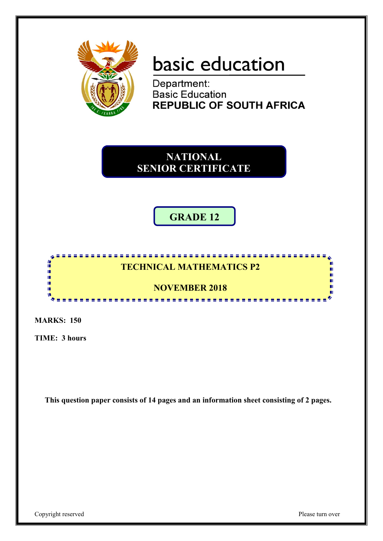

# basic education

Department: **Basic Education REPUBLIC OF SOUTH AFRICA** 

**NATIONAL SENIOR CERTIFICATE**

## **GRADE 12**

#### 僧 **TECHNICAL MATHEMATICS P2** ï, ή. ı. **NOVEMBER 2018** ΙÚ, w <u>..................</u> л.

**MARKS: 150**

**TIME: 3 hours**

**This question paper consists of 14 pages and an information sheet consisting of 2 pages.**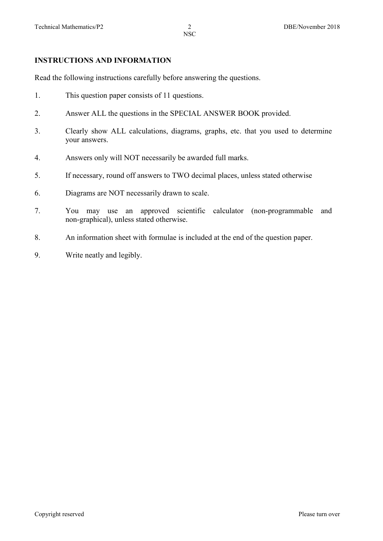#### **INSTRUCTIONS AND INFORMATION**

Read the following instructions carefully before answering the questions.

- 1. This question paper consists of 11 questions.
- 2. Answer ALL the questions in the SPECIAL ANSWER BOOK provided.
- 3. Clearly show ALL calculations, diagrams, graphs, etc. that you used to determine your answers.
- 4. Answers only will NOT necessarily be awarded full marks.
- 5. If necessary, round off answers to TWO decimal places, unless stated otherwise
- 6. Diagrams are NOT necessarily drawn to scale.
- 7. You may use an approved scientific calculator (non-programmable and non-graphical), unless stated otherwise.
- 8. An information sheet with formulae is included at the end of the question paper.
- 9. Write neatly and legibly.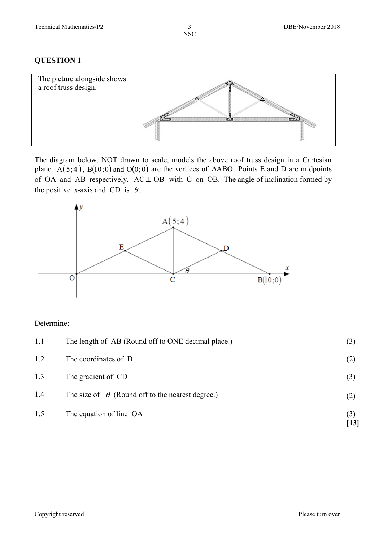#### **QUESTION 1**



The diagram below, NOT drawn to scale, models the above roof truss design in a Cartesian plane. A(5;4), B(10;0) and O(0;0) are the vertices of  $\triangle ABO$ . Points E and D are midpoints of OA and AB respectively.  $AC \perp OB$  with C on OB. The angle of inclination formed by the positive *x*-axis and CD is  $\theta$ .



#### Determine:

| 1.5 | The equation of line OA                                 | (3)<br>[13] |
|-----|---------------------------------------------------------|-------------|
|     |                                                         |             |
| 1.4 | The size of $\theta$ (Round off to the nearest degree.) | (2)         |
| 1.3 | The gradient of CD                                      | (3)         |
| 1.2 | The coordinates of D                                    | (2)         |
| 1.1 | The length of AB (Round off to ONE decimal place.)      | (3)         |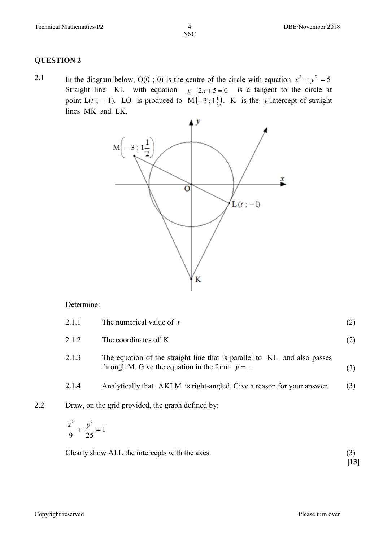#### **QUESTION 2**

2.1 In the diagram below,  $O(0; 0)$  is the centre of the circle with equation  $x^2 + y^2 = 5$ Straight line KL with equation  $y - 2x + 5 = 0$  is a tangent to the circle at point  $L(t; -1)$ . LO is produced to  $M(-3; 1\frac{1}{2})$ . K is the *y*-intercept of straight lines MK and LK.



#### Determine:

|     | 2.1.1                   | The numerical value of $t$                                                                                                  |     |
|-----|-------------------------|-----------------------------------------------------------------------------------------------------------------------------|-----|
|     | 2.1.2                   | The coordinates of K                                                                                                        | (2) |
|     | 2.1.3                   | The equation of the straight line that is parallel to KL and also passes<br>through M. Give the equation in the form $y = $ | (3) |
|     | 2.1.4                   | Analytically that $\triangle KLM$ is right-angled. Give a reason for your answer.                                           | (3) |
| 2.2 |                         | Draw, on the grid provided, the graph defined by:                                                                           |     |
|     | $\lambda^2$ $\lambda^2$ |                                                                                                                             |     |

$$
\frac{x^2}{9} + \frac{y^2}{25} = 1
$$

Clearly show ALL the intercepts with the axes. (3)

**[13]**

Copyright reserved Please turn over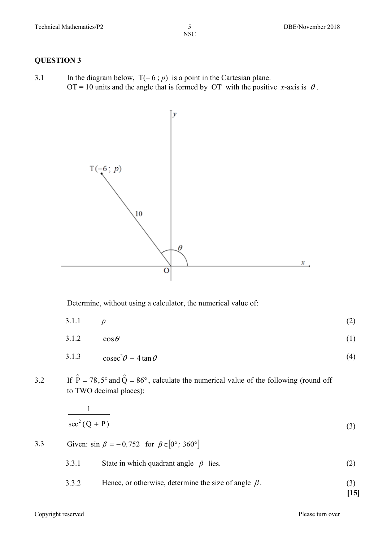**QUESTION 3**

3.1 In the diagram below,  $T(-6 ; p)$  is a point in the Cartesian plane.  $OT = 10$  units and the angle that is formed by OT with the positive *x*-axis is  $\theta$ .



Determine, without using a calculator, the numerical value of:

- 3.1.1 *p* (2)
- 3.1.2  $\cos \theta$  (1)
- 3.1.3 cosec<sup>2</sup> $\theta$  4 tan $\theta$  (4)

3.2 If  $\hat{P} = 78.5^{\circ}$  and  $\hat{Q} = 86^{\circ}$ , calculate the numerical value of the following (round off to TWO decimal places):

$$
\frac{1}{\sec^2(Q+P)}\tag{3}
$$

3.3 Given:  $\sin \beta = -0.752$  for  $\beta \in [0^{\circ}, 360^{\circ}]$ 

 $\overline{1}$ 

- 3.3.1 State in which quadrant angle *β* lies. (2)
- 3.3.2 Hence, or otherwise, determine the size of angle  $\beta$ . (3)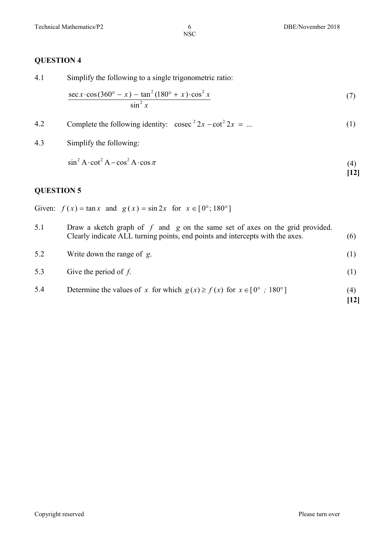#### **QUESTION 4**

4.1 Simplify the following to a single trigonometric ratio:

$$
\frac{\sec x \cdot \cos(360^\circ - x) - \tan^2(180^\circ + x) \cdot \cos^2 x}{\sin^2 x} \tag{7}
$$

4.2 Complete the following identity: 
$$
\csc^2 2x - \cot^2 2x = ...
$$
 (1)

4.3 Simplify the following:

$$
\sin^2 A \cdot \cot^2 A - \cos^2 A \cdot \cos \pi \tag{4}
$$

 $\binom{17}{12}$ 

#### **QUESTION 5**

Given:  $f(x) = \tan x$  and  $g(x) = \sin 2x$  for  $x \in [0^{\circ}; 180^{\circ}]$ 

| 5.1 | Draw a sketch graph of $f$ and $g$ on the same set of axes on the grid provided.<br>Clearly indicate ALL turning points, end points and intercepts with the axes. | (6)                       |
|-----|-------------------------------------------------------------------------------------------------------------------------------------------------------------------|---------------------------|
| 5.2 | Write down the range of $g$ .                                                                                                                                     | (1)                       |
| 5.3 | Give the period of $f$ .                                                                                                                                          | (1)                       |
| 5.4 | Determine the values of x for which $g(x) \ge f(x)$ for $x \in [0^{\circ} : 180^{\circ}]$                                                                         | (4)<br>$\lceil 12 \rceil$ |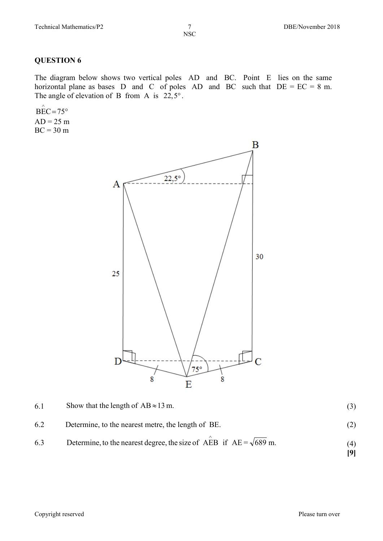#### **QUESTION 6**

The diagram below shows two vertical poles AD and BC. Point E lies on the same horizontal plane as bases D and C of poles AD and BC such that  $DE = EC = 8$  m. The angle of elevation of B from A is  $22.5^\circ$ .

 $\angle$ BEC = 75°  $AD = 25 m$  $BC = 30 m$ 



| 6.1 | Show that the length of $AB \approx 13$ m.                                |     |
|-----|---------------------------------------------------------------------------|-----|
| 6.2 | Determine, to the nearest metre, the length of BE.                        |     |
| 6.3 | Determine, to the nearest degree, the size of AEB if $AE = \sqrt{689}$ m. | (4) |

Copyright reserved Please turn over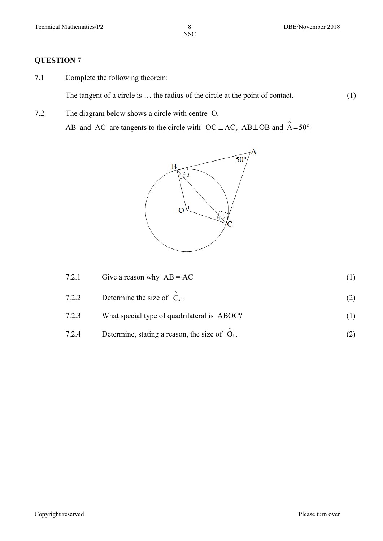### **QUESTION 7**

7.1 Complete the following theorem:

The tangent of a circle is ... the radius of the circle at the point of contact. (1)

7.2 The diagram below shows a circle with centre O.

AB and AC are tangents to the circle with  $OC \perp AC$ ,  $AB \perp OB$  and  $A = 50^{\circ}$ .



| 7.2.1 | Give a reason why $AB = AC$                                 |  |
|-------|-------------------------------------------------------------|--|
| 7.2.2 | Determine the size of $\hat{C}_2$ .                         |  |
| 7.2.3 | What special type of quadrilateral is ABOC?                 |  |
| 7.2.4 | Determine, stating a reason, the size of $\overline{O_1}$ . |  |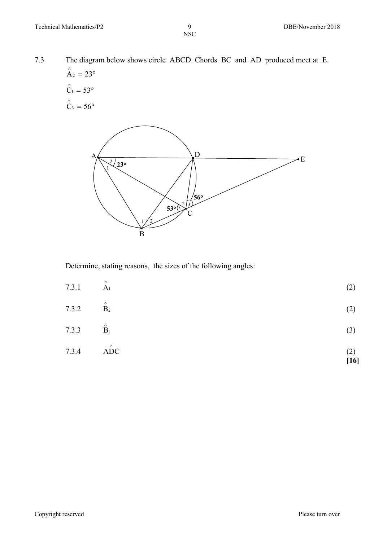7.3 The diagram below shows circle ABCD. Chords BC and AD produced meet at E.  $\mathring{A}_2 = 23^\circ$ 

$$
\hat{C}_1 = 53^\circ
$$
  

$$
\hat{C}_3 = 56^\circ
$$



Determine, stating reasons, the sizes of the following angles:

| 7.3.4 | $\hat{ADC}$                 | (2)<br>$[16]$ |
|-------|-----------------------------|---------------|
| 7.3.3 | $\hat{\mathbf{B}}_1$        | (3)           |
| 7.3.2 | $\hat{\mathbf{B}}_2$        | (2)           |
| 7.3.1 | $\mathop{\rm A}\nolimits_1$ | (2)           |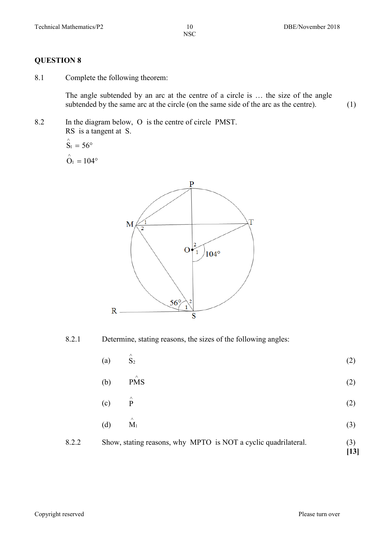#### **QUESTION 8**

8.1 Complete the following theorem:

The angle subtended by an arc at the centre of a circle is … the size of the angle subtended by the same arc at the circle (on the same side of the arc as the centre).  $(1)$ 

8.2 In the diagram below, O is the centre of circle PMST. RS is a tangent at S.

$$
\hat{S}_1 = 56^\circ
$$
  

$$
\hat{O}_1 = 104^\circ
$$



8.2.1 Determine, stating reasons, the sizes of the following angles:

|       | (a) | $\hat{S}_2$                                                    | (2)         |
|-------|-----|----------------------------------------------------------------|-------------|
|       | (b) | $\wedge$<br><b>PMS</b>                                         | (2)         |
|       | (c) | $\hat{\mathbf{P}}$                                             | (2)         |
|       | (d) | $\wedge$<br>$M_1$                                              | (3)         |
| 8.2.2 |     | Show, stating reasons, why MPTO is NOT a cyclic quadrilateral. | (3)<br>[13] |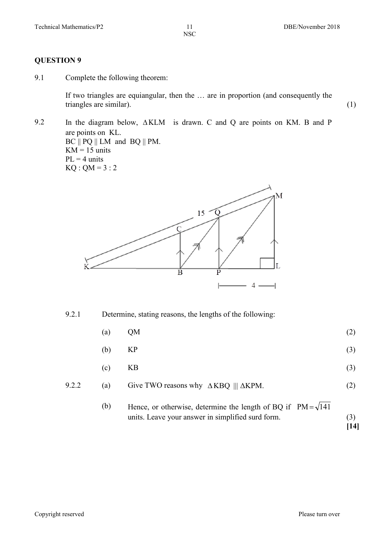#### **QUESTION 9**

9.1 Complete the following theorem:

If two triangles are equiangular, then the … are in proportion (and consequently the triangles are similar). (1)

9.2 In the diagram below, ∆KLM is drawn. C and Q are points on KM. B and P are points on KL.  $BC \parallel PQ \parallel LM$  and  $BQ \parallel PM$ .  $KM = 15$  units  $PL = 4$  units  $KQ : QM = 3 : 2$ 



9.2.1 Determine, stating reasons, the lengths of the following:

- (a)  $QM$  (2)
- (b) KP (3)
- (c)  $KB$  (3)
- 9.2.2 (a) Give TWO reasons why  $\triangle$ KBQ |||  $\triangle$ KPM. (2)
	- (b) Hence, or otherwise, determine the length of BQ if  $PM = \sqrt{141}$ units. Leave your answer in simplified surd form. (3) **[14]**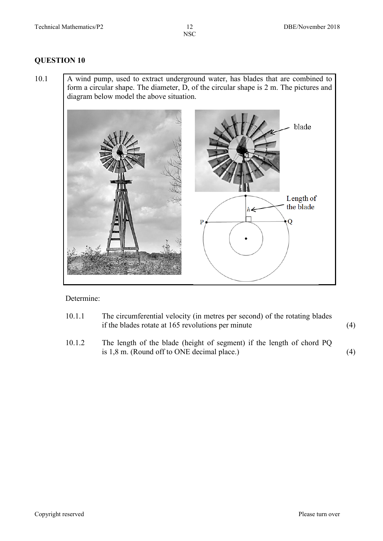#### **QUESTION 10**

10.1 A wind pump, used to extract underground water, has blades that are combined to form a circular shape. The diameter, D, of the circular shape is 2 m. The pictures and diagram below model the above situation.



#### Determine:

| 10.1.1 | The circumferential velocity (in metres per second) of the rotating blades |     |
|--------|----------------------------------------------------------------------------|-----|
|        | if the blades rotate at 165 revolutions per minute                         | (4) |

10.1.2 The length of the blade (height of segment) if the length of chord PQ is  $1,8$  m. (Round off to ONE decimal place.) (4)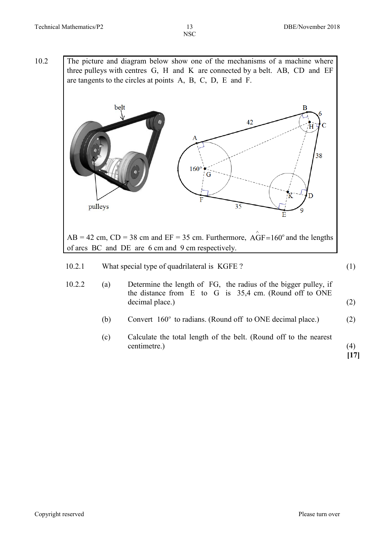10.2 The picture and diagram below show one of the mechanisms of a machine where three pulleys with centres G, H and K are connected by a belt. AB, CD and EF are tangents to the circles at points A, B, C, D, E and F.



- 10.2.2 (a) Determine the length of FG, the radius of the bigger pulley, if the distance from E to G is 35,4 cm. (Round off to ONE decimal place.) (2)
	- (b) Convert  $160^\circ$  to radians. (Round off to ONE decimal place.) (2)
	- (c) Calculate the total length of the belt. (Round off to the nearest centimetre.) (4)

**[17]**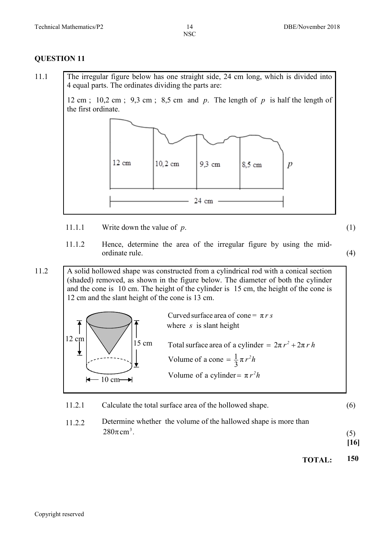#### **QUESTION 11**

11.1 The irregular figure below has one straight side, 24 cm long, which is divided into 4 equal parts. The ordinates dividing the parts are:

> 12 cm ; 10,2 cm ; 9,3 cm ; 8,5 cm and *p*. The length of *p* is half the length of the first ordinate.



11.1.1 Write down the value of *p*. (1)

11.1.2 Hence, determine the area of the irregular figure by using the midordinate rule. (4)

11.2 A solid hollowed shape was constructed from a cylindrical rod with a conical section (shaded) removed, as shown in the figure below. The diameter of both the cylinder and the cone is 10 cm. The height of the cylinder is 15 cm, the height of the cone is 12 cm and the slant height of the cone is 13 cm.

|       | Curved surface area of cone = $\pi r s$<br>where $s$ is slant height                                                                        |
|-------|---------------------------------------------------------------------------------------------------------------------------------------------|
| 15 cm | Total surface area of a cylinder = $2\pi r^2 + 2\pi rh$<br>Volume of a cone = $\frac{1}{3} \pi r^2 h$<br>Volume of a cylinder = $\pi r^2 h$ |

- 11.2.1 Calculate the total surface area of the hollowed shape. (6)
- 11.2.2 Determine whether the volume of the hallowed shape is more than  $280 \pi \text{ cm}^3$ .  $280\pi \text{cm}^3$ . (5)

**[16]**

**TOTAL: 150**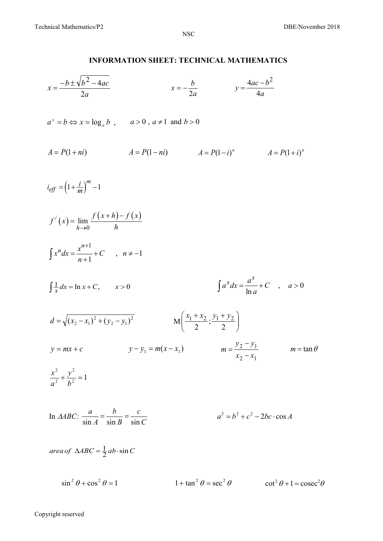#### **INFORMATION SHEET: TECHNICAL MATHEMATICS**

$$
x = \frac{-b \pm \sqrt{b^2 - 4ac}}{2a}
$$
  
\n
$$
x = -\frac{b}{2a}
$$
  
\n
$$
y = \frac{4ac - b^2}{4a}
$$
  
\n
$$
a^* = b \Leftrightarrow x = \log_a b , \qquad a > 0, a \neq 1 \text{ and } b > 0
$$
  
\n
$$
A = P(1 + n i)
$$
  
\n
$$
A = P(1 - n i)
$$
  
\n
$$
A = P(1 - i)^n
$$
  
\n
$$
A = P(1 + i)^n
$$
  
\n
$$
\log f = (1 + \frac{i}{m})^m - 1
$$
  
\n
$$
\int r'(x) = \lim_{h \to 0} \frac{f(x+h) - f(x)}{h}
$$
  
\n
$$
\int x^n dx = \frac{x^{n+1}}{n+1} + C , \qquad n \neq -1
$$
  
\n
$$
\int \frac{1}{x} dx = \ln x + C, \qquad x > 0
$$
  
\n
$$
A = \sqrt{(x_2 - x_1)^2 + (y_2 - y_1)^2}
$$
  
\n
$$
y = mx + C
$$
  
\n
$$
y - y_1 = m(x - x_1)
$$
  
\n
$$
\int \frac{x^2}{a^2} + \frac{y^2}{b^2} = 1
$$
  
\n
$$
\ln \frac{A}{BC} : \frac{a}{\sin A} = \frac{b}{\sin B} = \frac{c}{\sin C}
$$
  
\n
$$
a^2 = b^2 + c^2 - 2bc \cos A
$$
  
\n
$$
a^2 = b^2 + c^2 - 2bc \cos A
$$

 $\sin^2 \theta + \cos^2 \theta = 1$   $1 + \tan^2 \theta = \sec^2 \theta$   $\cot^2 \theta + 1 = \csc^2 \theta$